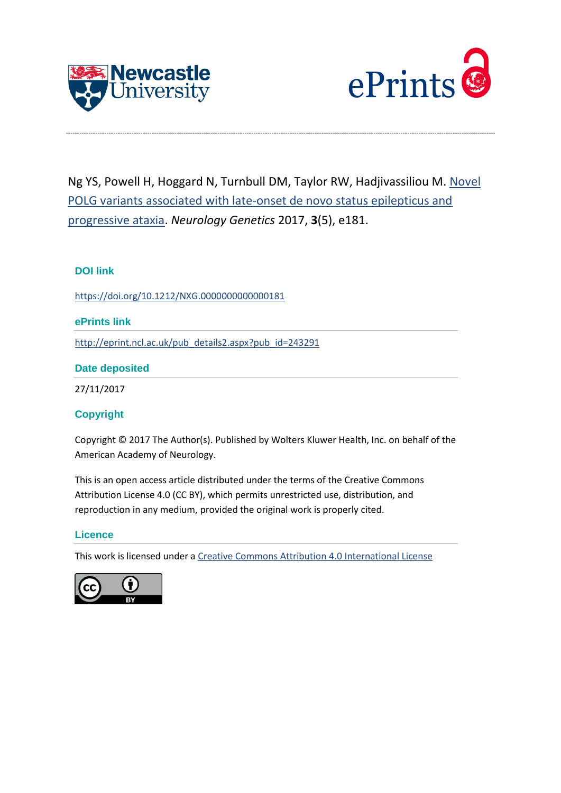



Ng YS, Powell H, Hoggard N, Turnbull DM, Taylor RW, Hadjivassiliou M. [Novel](http://eprint.ncl.ac.uk/pub_details2.aspx?pub_id=243291)  [POLG variants associated with late-onset de novo status epilepticus and](http://eprint.ncl.ac.uk/pub_details2.aspx?pub_id=243291)  [progressive ataxia.](http://eprint.ncl.ac.uk/pub_details2.aspx?pub_id=243291) *Neurology Genetics* 2017, **3**(5), e181.

# **DOI link**

<https://doi.org/10.1212/NXG.0000000000000181>

### **ePrints link**

[http://eprint.ncl.ac.uk/pub\\_details2.aspx?pub\\_id=243291](http://eprint.ncl.ac.uk/pub_details2.aspx?pub_id=243291)

### **Date deposited**

27/11/2017

## **Copyright**

Copyright © 2017 The Author(s). Published by Wolters Kluwer Health, Inc. on behalf of the American Academy of Neurology.

This is an open access article distributed under the terms of the Creative Commons Attribution License 4.0 (CC BY), which permits unrestricted use, distribution, and reproduction in any medium, provided the original work is properly cited.

### **Licence**

This work is licensed under a [Creative Commons Attribution 4.0 International License](http://creativecommons.org/licenses/by/4.0/)

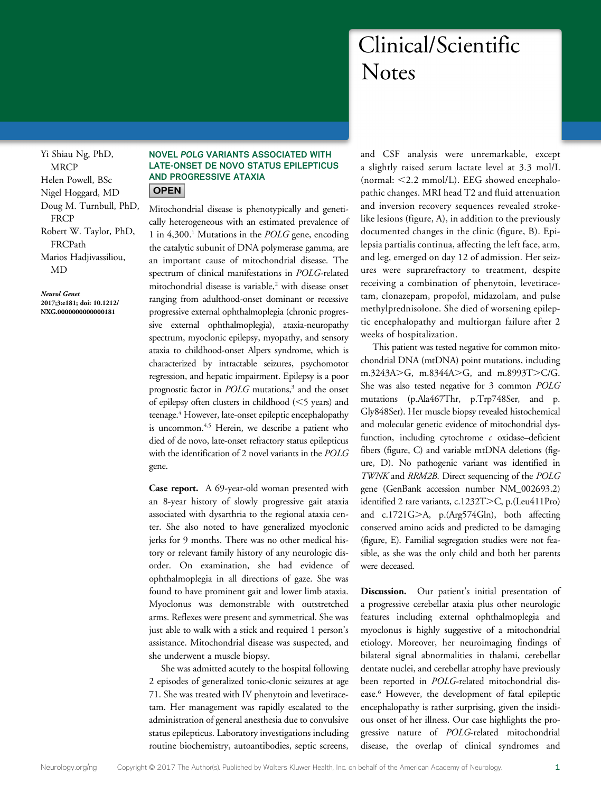# Clinical/Scientific **Notes**

Yi Shiau Ng, PhD, **MRCP** Helen Powell, BSc Nigel Hoggard, MD Doug M. Turnbull, PhD, **FRCP** Robert W. Taylor, PhD, FRCPath Marios Hadjivassiliou, MD

Neurol Genet 2017;3:e181; doi: 10.1212/ NXG.0000000000000181

### NOVEL POLG VARIANTS ASSOCIATED WITH LATE-ONSET DE NOVO STATUS EPILEPTICUS AND PROGRESSIVE ATAXIA **OPEN**

Mitochondrial disease is phenotypically and genetically heterogeneous with an estimated prevalence of 1 in  $4,300$ <sup>1</sup> Mutations in the *POLG* gene, encoding the catalytic subunit of DNA polymerase gamma, are an important cause of mitochondrial disease. The spectrum of clinical manifestations in POLG-related mitochondrial disease is variable,<sup>2</sup> with disease onset ranging from adulthood-onset dominant or recessive progressive external ophthalmoplegia (chronic progressive external ophthalmoplegia), ataxia-neuropathy spectrum, myoclonic epilepsy, myopathy, and sensory ataxia to childhood-onset Alpers syndrome, which is characterized by intractable seizures, psychomotor regression, and hepatic impairment. Epilepsy is a poor prognostic factor in  $POLG$  mutations,<sup>3</sup> and the onset of epilepsy often clusters in childhood  $(<$  5 years) and teenage.<sup>4</sup> However, late-onset epileptic encephalopathy is uncommon.<sup>4,5</sup> Herein, we describe a patient who died of de novo, late-onset refractory status epilepticus with the identification of 2 novel variants in the POLG gene.

Case report. A 69-year-old woman presented with an 8-year history of slowly progressive gait ataxia associated with dysarthria to the regional ataxia center. She also noted to have generalized myoclonic jerks for 9 months. There was no other medical history or relevant family history of any neurologic disorder. On examination, she had evidence of ophthalmoplegia in all directions of gaze. She was found to have prominent gait and lower limb ataxia. Myoclonus was demonstrable with outstretched arms. Reflexes were present and symmetrical. She was just able to walk with a stick and required 1 person's assistance. Mitochondrial disease was suspected, and she underwent a muscle biopsy.

She was admitted acutely to the hospital following 2 episodes of generalized tonic-clonic seizures at age 71. She was treated with IV phenytoin and levetiracetam. Her management was rapidly escalated to the administration of general anesthesia due to convulsive status epilepticus. Laboratory investigations including routine biochemistry, autoantibodies, septic screens, and CSF analysis were unremarkable, except a slightly raised serum lactate level at 3.3 mol/L (normal:  $<$  2.2 mmol/L). EEG showed encephalopathic changes. MRI head T2 and fluid attenuation and inversion recovery sequences revealed strokelike lesions (figure, A), in addition to the previously documented changes in the clinic (figure, B). Epilepsia partialis continua, affecting the left face, arm, and leg, emerged on day 12 of admission. Her seizures were suprarefractory to treatment, despite receiving a combination of phenytoin, levetiracetam, clonazepam, propofol, midazolam, and pulse methylprednisolone. She died of worsening epileptic encephalopathy and multiorgan failure after 2 weeks of hospitalization.

This patient was tested negative for common mitochondrial DNA (mtDNA) point mutations, including m.3243A>G, m.8344A>G, and m.8993T>C/G. She was also tested negative for 3 common POLG mutations (p.Ala467Thr, p.Trp748Ser, and p. Gly848Ser). Her muscle biopsy revealed histochemical and molecular genetic evidence of mitochondrial dysfunction, including cytochrome  $c$  oxidase-deficient fibers (figure, C) and variable mtDNA deletions (figure, D). No pathogenic variant was identified in TWNK and RRM2B. Direct sequencing of the POLG gene (GenBank accession number NM\_002693.2) identified 2 rare variants, c.1232T>C, p.(Leu411Pro) and  $c.1721G>A$ , p.(Arg574Gln), both affecting conserved amino acids and predicted to be damaging (figure, E). Familial segregation studies were not feasible, as she was the only child and both her parents were deceased.

Discussion. Our patient's initial presentation of a progressive cerebellar ataxia plus other neurologic features including external ophthalmoplegia and myoclonus is highly suggestive of a mitochondrial etiology. Moreover, her neuroimaging findings of bilateral signal abnormalities in thalami, cerebellar dentate nuclei, and cerebellar atrophy have previously been reported in POLG-related mitochondrial disease.6 However, the development of fatal epileptic encephalopathy is rather surprising, given the insidious onset of her illness. Our case highlights the progressive nature of POLG-related mitochondrial disease, the overlap of clinical syndromes and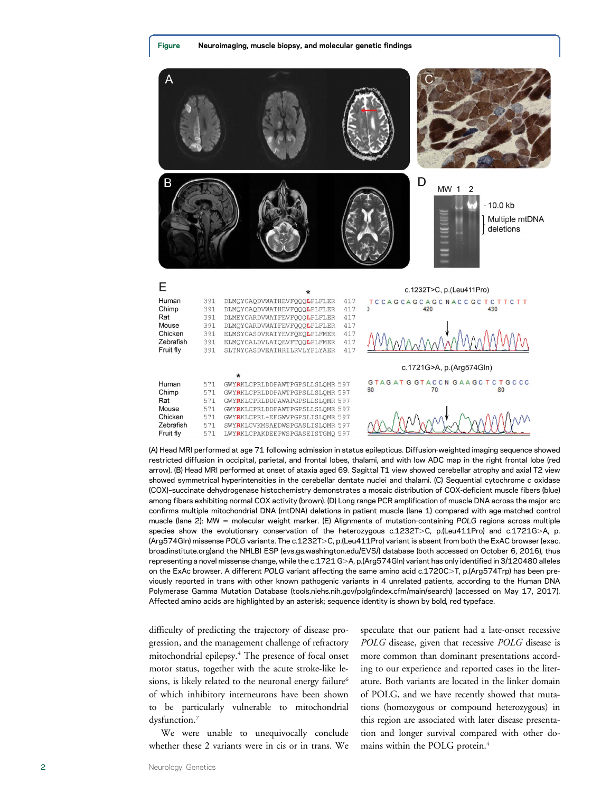

(A) Head MRI performed at age 71 following admission in status epilepticus. Diffusion-weighted imaging sequence showed restricted diffusion in occipital, parietal, and frontal lobes, thalami, and with low ADC map in the right frontal lobe (red arrow). (B) Head MRI performed at onset of ataxia aged 69. Sagittal T1 view showed cerebellar atrophy and axial T2 view showed symmetrical hyperintensities in the cerebellar dentate nuclei and thalami. (C) Sequential cytochrome c oxidase (COX)–succinate dehydrogenase histochemistry demonstrates a mosaic distribution of COX-deficient muscle fibers (blue) among fibers exhibiting normal COX activity (brown). (D) Long range PCR amplification of muscle DNA across the major arc confirms multiple mitochondrial DNA (mtDNA) deletions in patient muscle (lane 1) compared with age-matched control muscle (lane 2); MW = molecular weight marker. (E) Alignments of mutation-containing POLG regions across multiple species show the evolutionary conservation of the heterozygous c.1232T>C, p.(Leu411Pro) and c.1721G>A, p. (Arg574Gln) missense POLG variants. The c.1232T>C, p.(Leu411Pro) variant is absent from both the ExAC browser [\(exac.](http://exac.broadinstitute.org/) [broadinstitute.org\)](http://exac.broadinstitute.org/)and the NHLBI ESP [\(evs.gs.washington.edu/EVS/](http://evs.gs.washington.edu/EVS/)) database (both accessed on October 6, 2016), thus representing a novel missense change, while the c.1721 G>A, p.(Arg574Gln) variant has only identified in 3/120480 alleles on the ExAc browser. A different POLG variant affecting the same amino acid c.1720C>T, p.(Arg574Trp) has been previously reported in trans with other known pathogenic variants in 4 unrelated patients, according to the Human DNA Polymerase Gamma Mutation Database [\(tools.niehs.nih.gov/polg/index.cfm/main/search](https://tools.niehs.nih.gov/polg/index.cfm/main/search)) (accessed on May 17, 2017). Affected amino acids are highlighted by an asterisk; sequence identity is shown by bold, red typeface.

difficulty of predicting the trajectory of disease progression, and the management challenge of refractory mitochondrial epilepsy.4 The presence of focal onset motor status, together with the acute stroke-like lesions, is likely related to the neuronal energy failure<sup>6</sup> of which inhibitory interneurons have been shown to be particularly vulnerable to mitochondrial dysfunction.<sup>7</sup>

We were unable to unequivocally conclude whether these 2 variants were in cis or in trans. We speculate that our patient had a late-onset recessive POLG disease, given that recessive POLG disease is more common than dominant presentations according to our experience and reported cases in the literature. Both variants are located in the linker domain of POLG, and we have recently showed that mutations (homozygous or compound heterozygous) in this region are associated with later disease presentation and longer survival compared with other domains within the POLG protein.<sup>4</sup>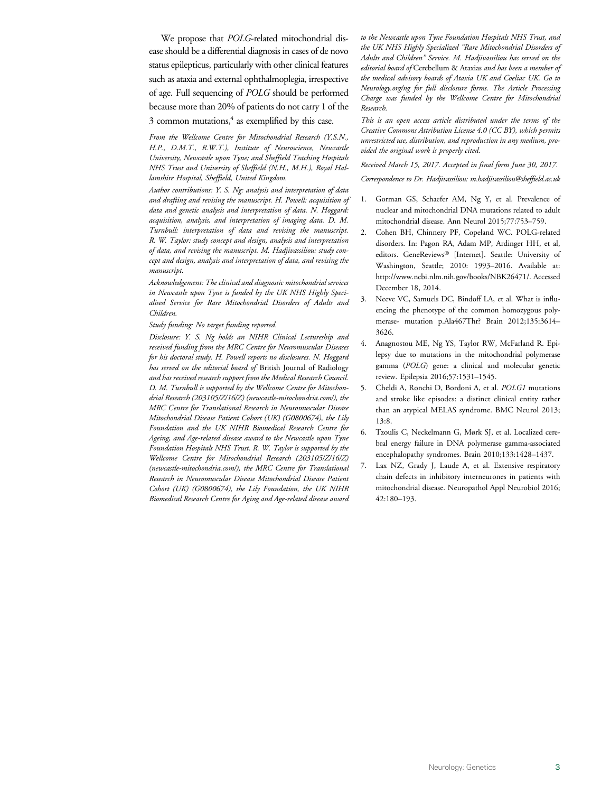We propose that POLG-related mitochondrial disease should be a differential diagnosis in cases of de novo status epilepticus, particularly with other clinical features such as ataxia and external ophthalmoplegia, irrespective of age. Full sequencing of POLG should be performed because more than 20% of patients do not carry 1 of the  $3$  common mutations, $4$  as exemplified by this case.

From the Wellcome Centre for Mitochondrial Research (Y.S.N., H.P., D.M.T., R.W.T.), Institute of Neuroscience, Newcastle University, Newcastle upon Tyne; and Sheffield Teaching Hospitals NHS Trust and University of Sheffield (N.H., M.H.), Royal Hallamshire Hospital, Sheffield, United Kingdom.

Author contributions: Y. S. Ng: analysis and interpretation of data and drafting and revising the manuscript. H. Powell: acquisition of data and genetic analysis and interpretation of data. N. Hoggard: acquisition, analysis, and interpretation of imaging data. D. M. Turnbull: interpretation of data and revising the manuscript. R. W. Taylor: study concept and design, analysis and interpretation of data, and revising the manuscript. M. Hadjivassiliou: study concept and design, analysis and interpretation of data, and revising the manuscript.

Acknowledgement: The clinical and diagnostic mitochondrial services in Newcastle upon Tyne is funded by the UK NHS Highly Specialised Service for Rare Mitochondrial Disorders of Adults and Children.

Study funding: No target funding reported.

Disclosure: Y. S. Ng holds an NIHR Clinical Lectureship and received funding from the MRC Centre for Neuromuscular Diseases for his doctoral study. H. Powell reports no disclosures. N. Hoggard has served on the editorial board of British Journal of Radiology and has received research support from the Medical Research Council. D. M. Turnbull is supported by the Wellcome Centre for Mitochondrial Research (203105/Z/16/Z) ([newcastle-mitochondria.com/](http://www.newcastle-mitochondria.com/)), the MRC Centre for Translational Research in Neuromuscular Disease Mitochondrial Disease Patient Cohort (UK) (G0800674), the Lily Foundation and the UK NIHR Biomedical Research Centre for Ageing, and Age-related disease award to the Newcastle upon Tyne Foundation Hospitals NHS Trust. R. W. Taylor is supported by the Wellcome Centre for Mitochondrial Research (203105/Z/16/Z) ([newcastle-mitochondria.com/](http://www.newcastle-mitochondria.com/)), the MRC Centre for Translational Research in Neuromuscular Disease Mitochondrial Disease Patient Cohort (UK) (G0800674), the Lily Foundation, the UK NIHR Biomedical Research Centre for Aging and Age-related disease award

to the Newcastle upon Tyne Foundation Hospitals NHS Trust, and the UK NHS Highly Specialized "Rare Mitochondrial Disorders of Adults and Children" Service. M. Hadjivassiliou has served on the editorial board of Cerebellum & Ataxias and has been a member of the medical advisory boards of Ataxia UK and Coeliac UK. Go to [Neurology.org/ng](http://ng.neurology.org/lookup/doi/10.1212/NXG.0000000000000181) for full disclosure forms. The Article Processing Charge was funded by the Wellcome Centre for Mitochondrial Research.

This is an open access article distributed under the terms of the [Creative Commons Attribution License 4.0 \(CC BY\)](http://creativecommons.org/licenses/by/4.0/), which permits unrestricted use, distribution, and reproduction in any medium, provided the original work is properly cited.

### Received March 15, 2017. Accepted in final form June 30, 2017.

Correspondence to Dr. Hadjivassiliou: [m.hadjivassiliou@sheffield.ac.uk](mailto:m.hadjivassiliou@sheffield.ac.uk)

- 1. Gorman GS, Schaefer AM, Ng Y, et al. Prevalence of nuclear and mitochondrial DNA mutations related to adult mitochondrial disease. Ann Neurol 2015;77:753–759.
- 2. Cohen BH, Chinnery PF, Copeland WC. POLG-related disorders. In: Pagon RA, Adam MP, Ardinger HH, et al, editors. GeneReviews® [Internet]. Seattle: University of Washington, Seattle; 2010: 1993–2016. Available at: <http://www.ncbi.nlm.nih.gov/books/NBK26471/>. Accessed December 18, 2014.
- 3. Neeve VC, Samuels DC, Bindoff LA, et al. What is influencing the phenotype of the common homozygous polymerase- mutation p.Ala467Thr? Brain 2012;135:3614– 3626.
- 4. Anagnostou ME, Ng YS, Taylor RW, McFarland R. Epilepsy due to mutations in the mitochondrial polymerase gamma (POLG) gene: a clinical and molecular genetic review. Epilepsia 2016;57:1531–1545.
- 5. Cheldi A, Ronchi D, Bordoni A, et al. POLG1 mutations and stroke like episodes: a distinct clinical entity rather than an atypical MELAS syndrome. BMC Neurol 2013; 13:8.
- 6. Tzoulis C, Neckelmann G, Mørk SJ, et al. Localized cerebral energy failure in DNA polymerase gamma-associated encephalopathy syndromes. Brain 2010;133:1428–1437.
- 7. Lax NZ, Grady J, Laude A, et al. Extensive respiratory chain defects in inhibitory interneurones in patients with mitochondrial disease. Neuropathol Appl Neurobiol 2016; 42:180–193.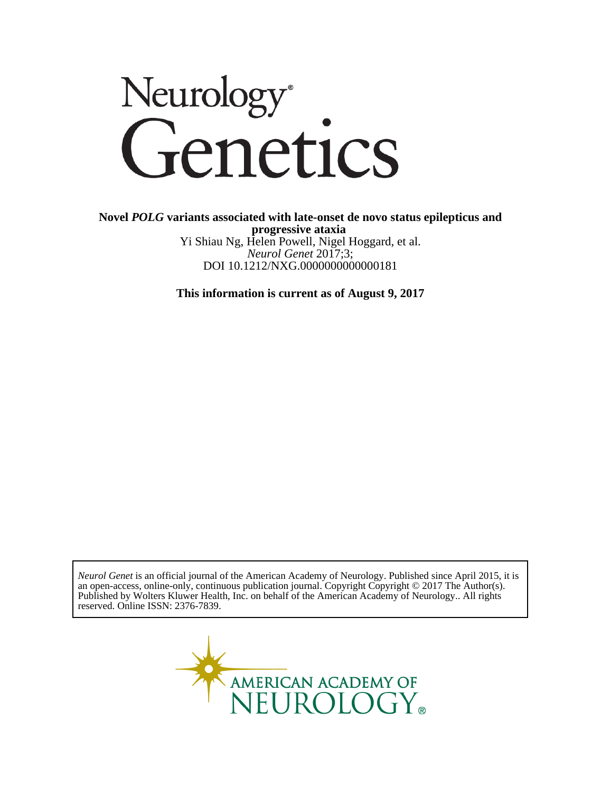# Neurology<sup>®</sup><br>Genetics

DOI 10.1212/NXG.0000000000000181 *Neurol Genet* 2017;3; Yi Shiau Ng, Helen Powell, Nigel Hoggard, et al. **progressive ataxia Novel** *POLG* **variants associated with late-onset de novo status epilepticus and**

**This information is current as of August 9, 2017**

reserved. Online ISSN: 2376-7839. Published by Wolters Kluwer Health, Inc. on behalf of the American Academy of Neurology.. All rights an open-access, online-only, continuous publication journal. Copyright Copyright © 2017 The Author(s). *Neurol Genet* is an official journal of the American Academy of Neurology. Published since April 2015, it is